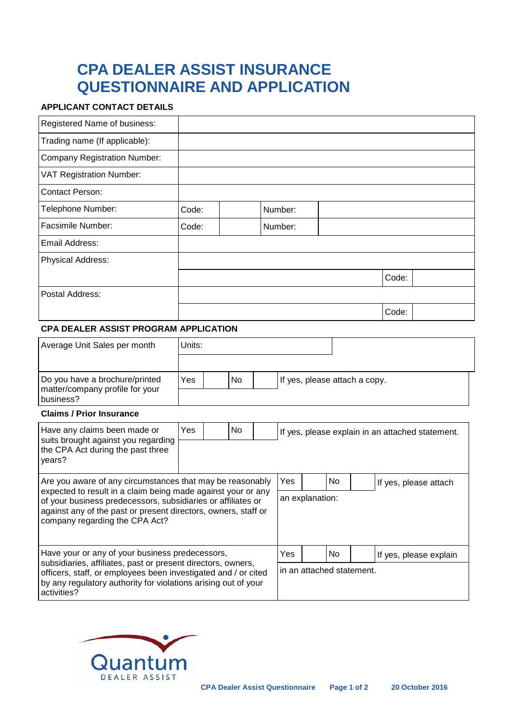# **CPA DEALER ASSIST INSURANCE QUESTIONNAIRE AND APPLICATION**

# **APPLICANT CONTACT DETAILS**

| Registered Name of business:        |       |         |       |
|-------------------------------------|-------|---------|-------|
| Trading name (If applicable):       |       |         |       |
| <b>Company Registration Number:</b> |       |         |       |
| <b>VAT Registration Number:</b>     |       |         |       |
| <b>Contact Person:</b>              |       |         |       |
| Telephone Number:                   | Code: | Number: |       |
| <b>Facsimile Number:</b>            | Code: | Number: |       |
| Email Address:                      |       |         |       |
| Physical Address:                   |       |         |       |
|                                     |       |         | Code: |
| Postal Address:                     |       |         |       |
|                                     |       |         | Code: |

# **CPA DEALER ASSIST PROGRAM APPLICATION**

| Average Unit Sales per month                 | Units: |     |                               |  |  |  |
|----------------------------------------------|--------|-----|-------------------------------|--|--|--|
|                                              |        |     |                               |  |  |  |
| Do you have a brochure/printed               | Yes    | No. | If yes, please attach a copy. |  |  |  |
| matter/company profile for your<br>business? |        |     |                               |  |  |  |

#### **Claims / Prior Insurance**

| Have any claims been made or<br>suits brought against you regarding                                                                                                                                                                                                | Yes |  | No.                       |     |     | If yes, please explain in an attached statement. |                        |                       |  |  |
|--------------------------------------------------------------------------------------------------------------------------------------------------------------------------------------------------------------------------------------------------------------------|-----|--|---------------------------|-----|-----|--------------------------------------------------|------------------------|-----------------------|--|--|
| the CPA Act during the past three<br>years?                                                                                                                                                                                                                        |     |  |                           |     |     |                                                  |                        |                       |  |  |
| Are you aware of any circumstances that may be reasonably                                                                                                                                                                                                          |     |  |                           | Yes |     | No.                                              |                        | If yes, please attach |  |  |
| expected to result in a claim being made against your or any<br>of your business predecessors, subsidiaries or affiliates or<br>against any of the past or present directors, owners, staff or<br>company regarding the CPA Act?                                   |     |  | an explanation:           |     |     |                                                  |                        |                       |  |  |
| Have your or any of your business predecessors,<br>subsidiaries, affiliates, past or present directors, owners,<br>officers, staff, or employees been investigated and / or cited<br>by any regulatory authority for violations arising out of your<br>activities? |     |  | Yes                       |     | No. |                                                  | If yes, please explain |                       |  |  |
|                                                                                                                                                                                                                                                                    |     |  | in an attached statement. |     |     |                                                  |                        |                       |  |  |